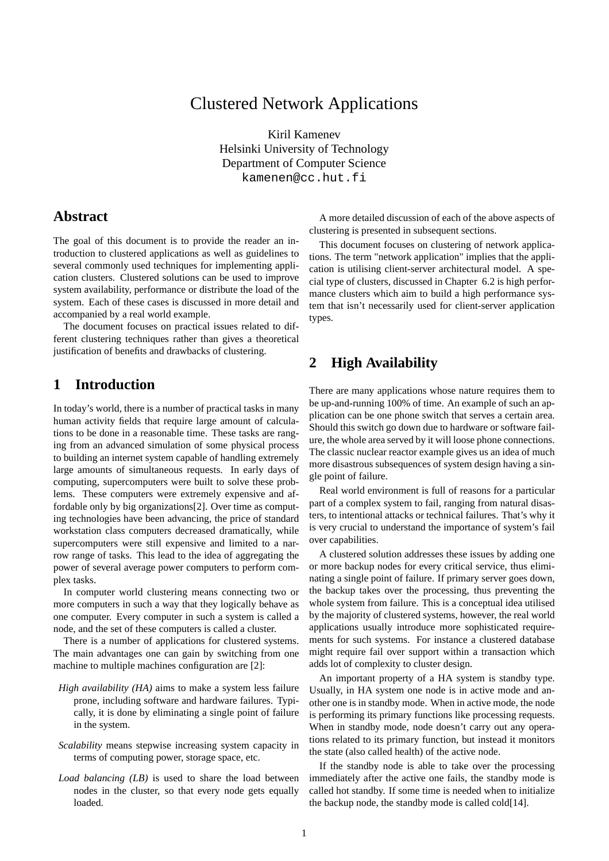## Clustered Network Applications

Kiril Kamenev Helsinki University of Technology Department of Computer Science kamenen@cc.hut.fi

## **Abstract**

The goal of this document is to provide the reader an introduction to clustered applications as well as guidelines to several commonly used techniques for implementing application clusters. Clustered solutions can be used to improve system availability, performance or distribute the load of the system. Each of these cases is discussed in more detail and accompanied by a real world example.

The document focuses on practical issues related to different clustering techniques rather than gives a theoretical justification of benefits and drawbacks of clustering.

### **1 Introduction**

In today's world, there is a number of practical tasks in many human activity fields that require large amount of calculations to be done in a reasonable time. These tasks are ranging from an advanced simulation of some physical process to building an internet system capable of handling extremely large amounts of simultaneous requests. In early days of computing, supercomputers were built to solve these problems. These computers were extremely expensive and affordable only by big organizations[2]. Over time as computing technologies have been advancing, the price of standard workstation class computers decreased dramatically, while supercomputers were still expensive and limited to a narrow range of tasks. This lead to the idea of aggregating the power of several average power computers to perform complex tasks.

In computer world clustering means connecting two or more computers in such a way that they logically behave as one computer. Every computer in such a system is called a node, and the set of these computers is called a cluster.

There is a number of applications for clustered systems. The main advantages one can gain by switching from one machine to multiple machines configuration are [2]:

- *High availability (HA)* aims to make a system less failure prone, including software and hardware failures. Typically, it is done by eliminating a single point of failure in the system.
- *Scalability* means stepwise increasing system capacity in terms of computing power, storage space, etc.
- *Load balancing (LB)* is used to share the load between nodes in the cluster, so that every node gets equally loaded.

A more detailed discussion of each of the above aspects of clustering is presented in subsequent sections.

This document focuses on clustering of network applications. The term "network application" implies that the application is utilising client-server architectural model. A special type of clusters, discussed in Chapter 6.2 is high performance clusters which aim to build a high performance system that isn't necessarily used for client-server application types.

## **2 High Availability**

There are many applications whose nature requires them to be up-and-running 100% of time. An example of such an application can be one phone switch that serves a certain area. Should this switch go down due to hardware or software failure, the whole area served by it will loose phone connections. The classic nuclear reactor example gives us an idea of much more disastrous subsequences of system design having a single point of failure.

Real world environment is full of reasons for a particular part of a complex system to fail, ranging from natural disasters, to intentional attacks or technical failures. That's why it is very crucial to understand the importance of system's fail over capabilities.

A clustered solution addresses these issues by adding one or more backup nodes for every critical service, thus eliminating a single point of failure. If primary server goes down, the backup takes over the processing, thus preventing the whole system from failure. This is a conceptual idea utilised by the majority of clustered systems, however, the real world applications usually introduce more sophisticated requirements for such systems. For instance a clustered database might require fail over support within a transaction which adds lot of complexity to cluster design.

An important property of a HA system is standby type. Usually, in HA system one node is in active mode and another one is in standby mode. When in active mode, the node is performing its primary functions like processing requests. When in standby mode, node doesn't carry out any operations related to its primary function, but instead it monitors the state (also called health) of the active node.

If the standby node is able to take over the processing immediately after the active one fails, the standby mode is called hot standby. If some time is needed when to initialize the backup node, the standby mode is called cold[14].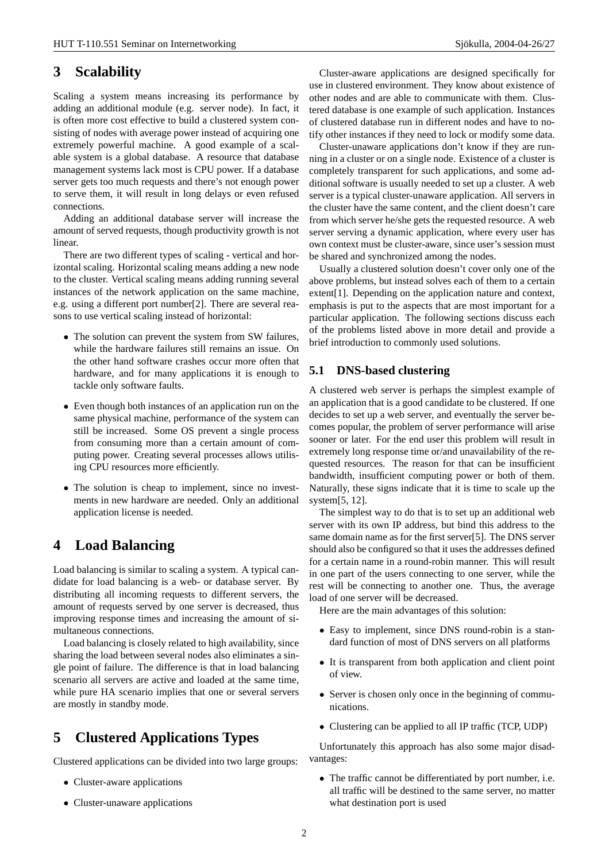## **3 Scalability**

Scaling a system means increasing its performance by adding an additional module (e.g. server node). In fact, it is often more cost effective to build a clustered system consisting of nodes with average power instead of acquiring one extremely powerful machine. A good example of a scalable system is a global database. A resource that database management systems lack most is CPU power. If a database server gets too much requests and there's not enough power to serve them, it will result in long delays or even refused connections.

Adding an additional database server will increase the amount of served requests, though productivity growth is not linear.

There are two different types of scaling - vertical and horizontal scaling. Horizontal scaling means adding a new node to the cluster. Vertical scaling means adding running several instances of the network application on the same machine, e.g. using a different port number[2]. There are several reasons to use vertical scaling instead of horizontal:

- The solution can prevent the system from SW failures, while the hardware failures still remains an issue. On the other hand software crashes occur more often that hardware, and for many applications it is enough to tackle only software faults.
- Even though both instances of an application run on the same physical machine, performance of the system can still be increased. Some OS prevent a single process from consuming more than a certain amount of computing power. Creating several processes allows utilising CPU resources more efficiently.
- The solution is cheap to implement, since no investments in new hardware are needed. Only an additional application license is needed.

## **4 Load Balancing**

Load balancing is similar to scaling a system. A typical candidate for load balancing is a web- or database server. By distributing all incoming requests to different servers, the amount of requests served by one server is decreased, thus improving response times and increasing the amount of simultaneous connections.

Load balancing is closely related to high availability, since sharing the load between several nodes also eliminates a single point of failure. The difference is that in load balancing scenario all servers are active and loaded at the same time, while pure HA scenario implies that one or several servers are mostly in standby mode.

# **5 Clustered Applications Types**

Clustered applications can be divided into two large groups:

- Cluster-aware applications
- Cluster-unaware applications

Cluster-aware applications are designed specifically for use in clustered environment. They know about existence of other nodes and are able to communicate with them. Clustered database is one example of such application. Instances of clustered database run in different nodes and have to notify other instances if they need to lock or modify some data.

Cluster-unaware applications don't know if they are running in a cluster or on a single node. Existence of a cluster is completely transparent for such applications, and some additional software is usually needed to set up a cluster. A web server is a typical cluster-unaware application. All servers in the cluster have the same content, and the client doesn't care from which server he/she gets the requested resource. A web server serving a dynamic application, where every user has own context must be cluster-aware, since user's session must be shared and synchronized among the nodes.

Usually a clustered solution doesn't cover only one of the above problems, but instead solves each of them to a certain extent[1]. Depending on the application nature and context, emphasis is put to the aspects that are most important for a particular application. The following sections discuss each of the problems listed above in more detail and provide a brief introduction to commonly used solutions.

### **5.1 DNS-based clustering**

A clustered web server is perhaps the simplest example of an application that is a good candidate to be clustered. If one decides to set up a web server, and eventually the server becomes popular, the problem of server performance will arise sooner or later. For the end user this problem will result in extremely long response time or/and unavailability of the requested resources. The reason for that can be insufficient bandwidth, insufficient computing power or both of them. Naturally, these signs indicate that it is time to scale up the system[5, 12].

The simplest way to do that is to set up an additional web server with its own IP address, but bind this address to the same domain name as for the first server[5]. The DNS server should also be configured so that it uses the addresses defined for a certain name in a round-robin manner. This will result in one part of the users connecting to one server, while the rest will be connecting to another one. Thus, the average load of one server will be decreased.

Here are the main advantages of this solution:

- Easy to implement, since DNS round-robin is a standard function of most of DNS servers on all platforms
- It is transparent from both application and client point of view.
- Server is chosen only once in the beginning of communications.
- Clustering can be applied to all IP traffic (TCP, UDP)

Unfortunately this approach has also some major disadvantages:

• The traffic cannot be differentiated by port number, i.e. all traffic will be destined to the same server, no matter what destination port is used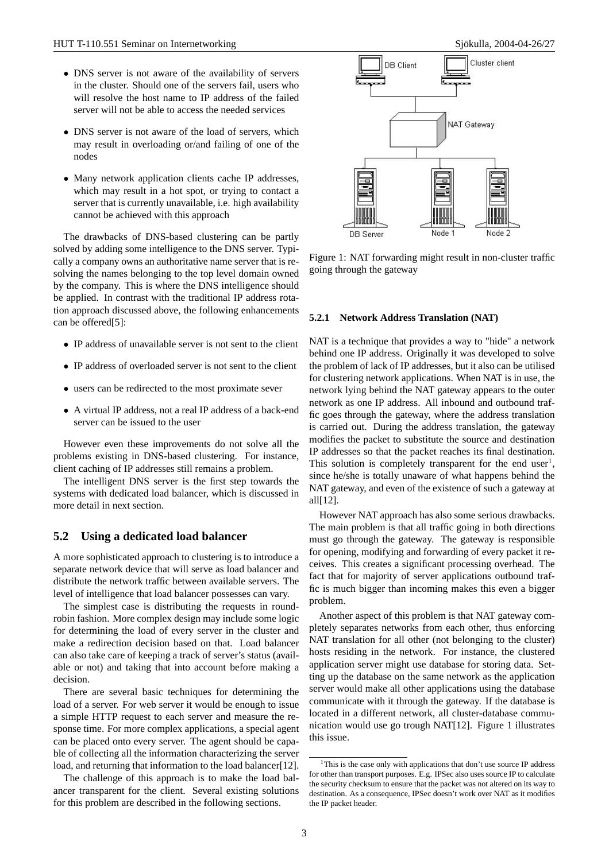- DNS server is not aware of the availability of servers in the cluster. Should one of the servers fail, users who will resolve the host name to IP address of the failed server will not be able to access the needed services
- DNS server is not aware of the load of servers, which may result in overloading or/and failing of one of the nodes
- Many network application clients cache IP addresses, which may result in a hot spot, or trying to contact a server that is currently unavailable, i.e. high availability cannot be achieved with this approach

The drawbacks of DNS-based clustering can be partly solved by adding some intelligence to the DNS server. Typically a company owns an authoritative name server that is resolving the names belonging to the top level domain owned by the company. This is where the DNS intelligence should be applied. In contrast with the traditional IP address rotation approach discussed above, the following enhancements can be offered[5]:

- IP address of unavailable server is not sent to the client
- IP address of overloaded server is not sent to the client
- users can be redirected to the most proximate sever
- A virtual IP address, not a real IP address of a back-end server can be issued to the user

However even these improvements do not solve all the problems existing in DNS-based clustering. For instance, client caching of IP addresses still remains a problem.

The intelligent DNS server is the first step towards the systems with dedicated load balancer, which is discussed in more detail in next section.

#### **5.2 Using a dedicated load balancer**

A more sophisticated approach to clustering is to introduce a separate network device that will serve as load balancer and distribute the network traffic between available servers. The level of intelligence that load balancer possesses can vary.

The simplest case is distributing the requests in roundrobin fashion. More complex design may include some logic for determining the load of every server in the cluster and make a redirection decision based on that. Load balancer can also take care of keeping a track of server's status (available or not) and taking that into account before making a decision.

There are several basic techniques for determining the load of a server. For web server it would be enough to issue a simple HTTP request to each server and measure the response time. For more complex applications, a special agent can be placed onto every server. The agent should be capable of collecting all the information characterizing the server load, and returning that information to the load balancer[12].

The challenge of this approach is to make the load balancer transparent for the client. Several existing solutions for this problem are described in the following sections.



Figure 1: NAT forwarding might result in non-cluster traffic going through the gateway

#### **5.2.1 Network Address Translation (NAT)**

NAT is a technique that provides a way to "hide" a network behind one IP address. Originally it was developed to solve the problem of lack of IP addresses, but it also can be utilised for clustering network applications. When NAT is in use, the network lying behind the NAT gateway appears to the outer network as one IP address. All inbound and outbound traffic goes through the gateway, where the address translation is carried out. During the address translation, the gateway modifies the packet to substitute the source and destination IP addresses so that the packet reaches its final destination. This solution is completely transparent for the end user<sup>1</sup>, since he/she is totally unaware of what happens behind the NAT gateway, and even of the existence of such a gateway at all[12].

However NAT approach has also some serious drawbacks. The main problem is that all traffic going in both directions must go through the gateway. The gateway is responsible for opening, modifying and forwarding of every packet it receives. This creates a significant processing overhead. The fact that for majority of server applications outbound traffic is much bigger than incoming makes this even a bigger problem.

Another aspect of this problem is that NAT gateway completely separates networks from each other, thus enforcing NAT translation for all other (not belonging to the cluster) hosts residing in the network. For instance, the clustered application server might use database for storing data. Setting up the database on the same network as the application server would make all other applications using the database communicate with it through the gateway. If the database is located in a different network, all cluster-database communication would use go trough NAT[12]. Figure 1 illustrates this issue.

<sup>&</sup>lt;sup>1</sup>This is the case only with applications that don't use source IP address for other than transport purposes. E.g. IPSec also uses source IP to calculate the security checksum to ensure that the packet was not altered on its way to destination. As a consequence, IPSec doesn't work over NAT as it modifies the IP packet header.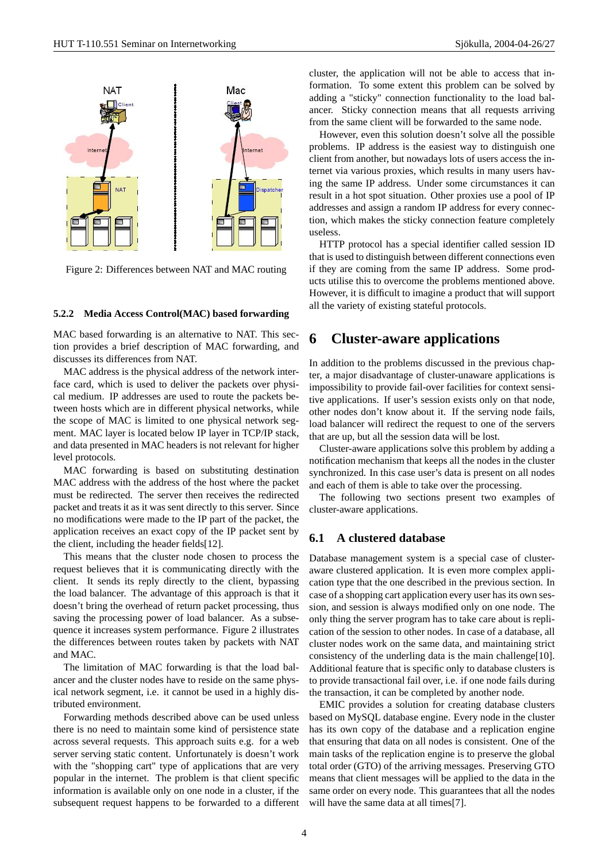

Figure 2: Differences between NAT and MAC routing

#### **5.2.2 Media Access Control(MAC) based forwarding**

MAC based forwarding is an alternative to NAT. This section provides a brief description of MAC forwarding, and discusses its differences from NAT.

MAC address is the physical address of the network interface card, which is used to deliver the packets over physical medium. IP addresses are used to route the packets between hosts which are in different physical networks, while the scope of MAC is limited to one physical network segment. MAC layer is located below IP layer in TCP/IP stack, and data presented in MAC headers is not relevant for higher level protocols.

MAC forwarding is based on substituting destination MAC address with the address of the host where the packet must be redirected. The server then receives the redirected packet and treats it as it was sent directly to this server. Since no modifications were made to the IP part of the packet, the application receives an exact copy of the IP packet sent by the client, including the header fields[12].

This means that the cluster node chosen to process the request believes that it is communicating directly with the client. It sends its reply directly to the client, bypassing the load balancer. The advantage of this approach is that it doesn't bring the overhead of return packet processing, thus saving the processing power of load balancer. As a subsequence it increases system performance. Figure 2 illustrates the differences between routes taken by packets with NAT and MAC.

The limitation of MAC forwarding is that the load balancer and the cluster nodes have to reside on the same physical network segment, i.e. it cannot be used in a highly distributed environment.

Forwarding methods described above can be used unless there is no need to maintain some kind of persistence state across several requests. This approach suits e.g. for a web server serving static content. Unfortunately is doesn't work with the "shopping cart" type of applications that are very popular in the internet. The problem is that client specific information is available only on one node in a cluster, if the subsequent request happens to be forwarded to a different cluster, the application will not be able to access that information. To some extent this problem can be solved by adding a "sticky" connection functionality to the load balancer. Sticky connection means that all requests arriving from the same client will be forwarded to the same node.

However, even this solution doesn't solve all the possible problems. IP address is the easiest way to distinguish one client from another, but nowadays lots of users access the internet via various proxies, which results in many users having the same IP address. Under some circumstances it can result in a hot spot situation. Other proxies use a pool of IP addresses and assign a random IP address for every connection, which makes the sticky connection feature completely useless.

HTTP protocol has a special identifier called session ID that is used to distinguish between different connections even if they are coming from the same IP address. Some products utilise this to overcome the problems mentioned above. However, it is difficult to imagine a product that will support all the variety of existing stateful protocols.

### **6 Cluster-aware applications**

In addition to the problems discussed in the previous chapter, a major disadvantage of cluster-unaware applications is impossibility to provide fail-over facilities for context sensitive applications. If user's session exists only on that node, other nodes don't know about it. If the serving node fails, load balancer will redirect the request to one of the servers that are up, but all the session data will be lost.

Cluster-aware applications solve this problem by adding a notification mechanism that keeps all the nodes in the cluster synchronized. In this case user's data is present on all nodes and each of them is able to take over the processing.

The following two sections present two examples of cluster-aware applications.

#### **6.1 A clustered database**

Database management system is a special case of clusteraware clustered application. It is even more complex application type that the one described in the previous section. In case of a shopping cart application every user has its own session, and session is always modified only on one node. The only thing the server program has to take care about is replication of the session to other nodes. In case of a database, all cluster nodes work on the same data, and maintaining strict consistency of the underling data is the main challenge[10]. Additional feature that is specific only to database clusters is to provide transactional fail over, i.e. if one node fails during the transaction, it can be completed by another node.

EMIC provides a solution for creating database clusters based on MySQL database engine. Every node in the cluster has its own copy of the database and a replication engine that ensuring that data on all nodes is consistent. One of the main tasks of the replication engine is to preserve the global total order (GTO) of the arriving messages. Preserving GTO means that client messages will be applied to the data in the same order on every node. This guarantees that all the nodes will have the same data at all times[7].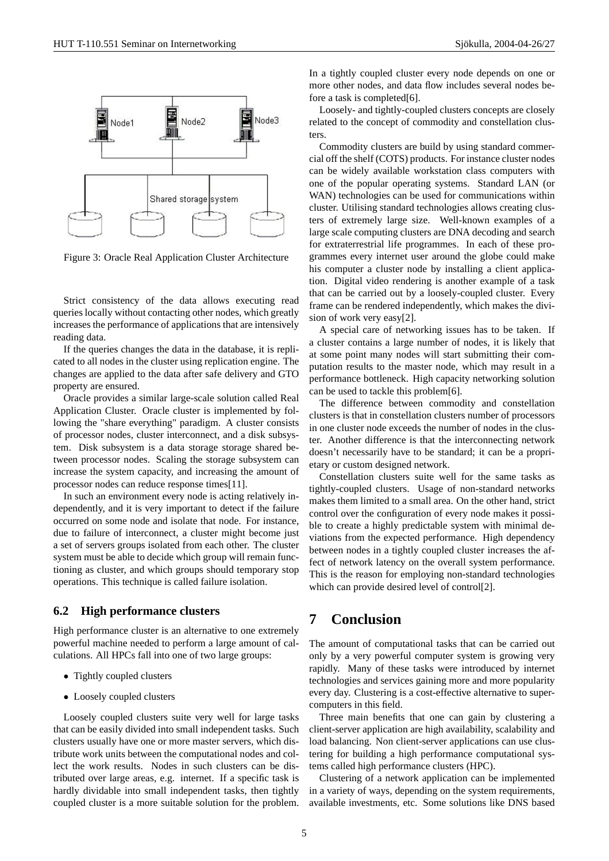

Figure 3: Oracle Real Application Cluster Architecture

Strict consistency of the data allows executing read queries locally without contacting other nodes, which greatly increases the performance of applications that are intensively reading data.

If the queries changes the data in the database, it is replicated to all nodes in the cluster using replication engine. The changes are applied to the data after safe delivery and GTO property are ensured.

Oracle provides a similar large-scale solution called Real Application Cluster. Oracle cluster is implemented by following the "share everything" paradigm. A cluster consists of processor nodes, cluster interconnect, and a disk subsystem. Disk subsystem is a data storage storage shared between processor nodes. Scaling the storage subsystem can increase the system capacity, and increasing the amount of processor nodes can reduce response times[11].

In such an environment every node is acting relatively independently, and it is very important to detect if the failure occurred on some node and isolate that node. For instance, due to failure of interconnect, a cluster might become just a set of servers groups isolated from each other. The cluster system must be able to decide which group will remain functioning as cluster, and which groups should temporary stop operations. This technique is called failure isolation.

#### **6.2 High performance clusters**

High performance cluster is an alternative to one extremely powerful machine needed to perform a large amount of calculations. All HPCs fall into one of two large groups:

- Tightly coupled clusters
- Loosely coupled clusters

Loosely coupled clusters suite very well for large tasks that can be easily divided into small independent tasks. Such clusters usually have one or more master servers, which distribute work units between the computational nodes and collect the work results. Nodes in such clusters can be distributed over large areas, e.g. internet. If a specific task is hardly dividable into small independent tasks, then tightly coupled cluster is a more suitable solution for the problem. In a tightly coupled cluster every node depends on one or more other nodes, and data flow includes several nodes before a task is completed[6].

Loosely- and tightly-coupled clusters concepts are closely related to the concept of commodity and constellation clusters.

Commodity clusters are build by using standard commercial off the shelf (COTS) products. For instance cluster nodes can be widely available workstation class computers with one of the popular operating systems. Standard LAN (or WAN) technologies can be used for communications within cluster. Utilising standard technologies allows creating clusters of extremely large size. Well-known examples of a large scale computing clusters are DNA decoding and search for extraterrestrial life programmes. In each of these programmes every internet user around the globe could make his computer a cluster node by installing a client application. Digital video rendering is another example of a task that can be carried out by a loosely-coupled cluster. Every frame can be rendered independently, which makes the division of work very easy[2].

A special care of networking issues has to be taken. If a cluster contains a large number of nodes, it is likely that at some point many nodes will start submitting their computation results to the master node, which may result in a performance bottleneck. High capacity networking solution can be used to tackle this problem[6].

The difference between commodity and constellation clusters is that in constellation clusters number of processors in one cluster node exceeds the number of nodes in the cluster. Another difference is that the interconnecting network doesn't necessarily have to be standard; it can be a proprietary or custom designed network.

Constellation clusters suite well for the same tasks as tightly-coupled clusters. Usage of non-standard networks makes them limited to a small area. On the other hand, strict control over the configuration of every node makes it possible to create a highly predictable system with minimal deviations from the expected performance. High dependency between nodes in a tightly coupled cluster increases the affect of network latency on the overall system performance. This is the reason for employing non-standard technologies which can provide desired level of control[2].

### **7 Conclusion**

The amount of computational tasks that can be carried out only by a very powerful computer system is growing very rapidly. Many of these tasks were introduced by internet technologies and services gaining more and more popularity every day. Clustering is a cost-effective alternative to supercomputers in this field.

Three main benefits that one can gain by clustering a client-server application are high availability, scalability and load balancing. Non client-server applications can use clustering for building a high performance computational systems called high performance clusters (HPC).

Clustering of a network application can be implemented in a variety of ways, depending on the system requirements, available investments, etc. Some solutions like DNS based